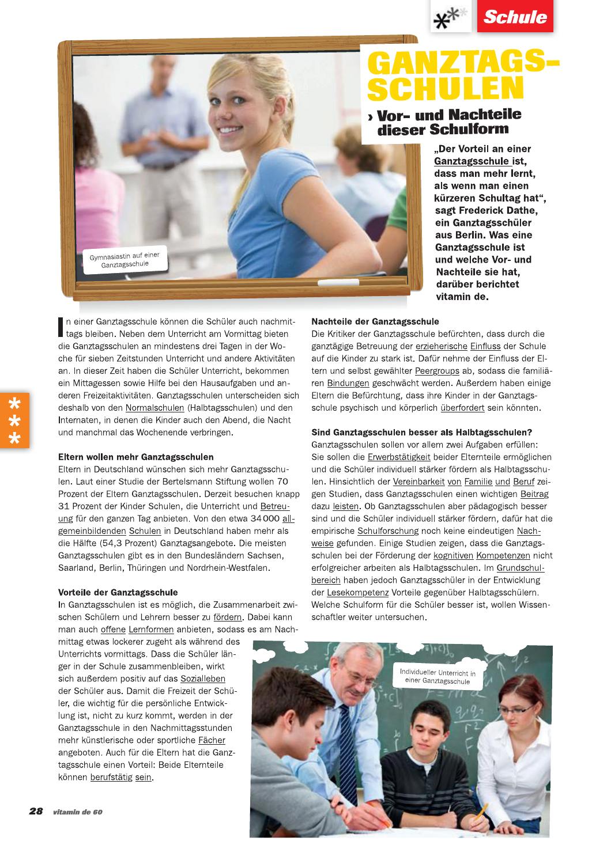



 $\begin{array}{c}\n\mathbf{x}^{*} \quad \mathbf{Schule} \\
\hline\n\text{S}\ \text{C}\ \text{L}\ \text{L}\ \text{N} \\
\text{Vor- und Nachteile} \\
\text{dieser Schulform} \\
\text{. Der Vorteil an einer\n  $\text{Gantzagschule ist}\n \\ \text{dass man mehr lent, } \text{as sym man einen\n  $\text{kürzeren Schultag hat}^n, \text{ sagt Fredrick Dath, } \text{sqrt} \\
\text{ in Gantzagsschuler}\n \\ \text{aux Berlin. Was eine\n  $\text{Gantzagsschuler} \text{ at } \text{sqrt} \\
\text{auchteile sio hat,$$$$ Schulte<br>
Schule<br>
SCHULE EN<br>
MOT IM NACHELE<br>
MOT IM NACHELE<br>
MOT IM NACHELE<br>
MOT IM NACHELE<br>
MOT IM NACHELE<br>
MOT IM NACHELE<br>
MOT IM NACHELE<br>
MOT IM NACHELE<br>
CHANGE STRIP IN SURFAINDERS<br>
CHANGE STRIP IN SURFAINDERS<br>
CHANGE S

 $\frac{1}{2}$ <br>
Schule<br>
SCHULEN<br>
Mor- und Nachteile<br>
Mor- und Nachteile<br>
Mor- und Nachteile<br>
Nor- und Nachteile<br>
Mor- und Nachteile<br>
Mor- und Nachteile<br>
SCHULEN<br>
Nor- und Nachteile<br>
Schulen<br>
SCHULEN<br>
Nor- und Nachteile<br>
Mor- u **E PAINT RESP. SCHULEN**<br>
SCHULEN<br>
SCHULEN<br>
SCHULEN<br>
Nor- und Nachtelie<br>
SCHULEN<br>
Nor- und Nachtelie<br>
SCHULEN<br>
Nor- und Nachtelie<br>
SCHULEN<br>
SCHULEN<br>
SCHULEN<br>
Characteristics<br>
Contains the contribution of the state of the c ein Mittagessen sowie Hilfe bei den Hausaufgaben und anderen Freizeitaktivitäten. Ganztagsschulen unterscheiden sich deshalb von den Normalschulen (Halbtagsschulen) und den Internaten, in denen die Kinder auch den Abend, die Nacht und manchmal das Wochenende verbringen. Gymnasiastin auf einer<br>Ganztagsschule<br>In einer Ganztagsschule können die Schüler<br>tags bleiben. Neben dem Unterricht am Vo

an. In dieser Zeit haben die Schüler Unterricht, bekommen<br>
ein Mittagessen sowie Hilfe bei den Hausaufgaben und an-<br>
deren Freizeitaktivitäten. Ganztagsschulen unterscheiden sich<br>
deshalb von den <u>Normalschulen</u> (Halbtagss Ganztagsschulen gibt es in den Bundesländern Sachsen,<br>Saarland, Berlin, Thüringen und Nordrhein-Westfalen. 31 Prozent der Kinder Schulen, die Unterricht und <u>Betreu-<br>ung</u> für den ganzen Tag anbieten. Von den etwa 34 000 <u>all-</u><br>gemeinbildenden Schulen in Deutschland haben mehr als<br>die Hälfte (54,3 Prozent) Ganztagsangebote. Die

der Schüler aus. Damit die Freizeit der Schüler, die wichtig für die persönliche Entwicklung ist, nicht zu kurz kommt, werden in der Ganztagsschule in den Nachmittagsstunden mehr künstlerische oder sportliche Fächer angeboten. Auch für die Eltern hat die Ganztagsschule einen Vorteil: Beide Elternteile können berufstätig sein.

Water Land and **Schulte**<br>
SCHULE N<br>
SCHULE N<br>
SCHULE N<br>
SCHULE N<br>
SCHULE N<br>
Mor- und Nachteile<br>
dieser Schulform<br>
alter Schule in the same mehr lend.<br>
Schule is the same mehr lend.<br>
(in the same media in the same of the sa

**Example 19 and 19 and 19 and 19 and 19 and 19 and 19 and 19 and 19 and 19 and 19 and 19 and 19 and 19 and 19 and 19 and 19 and 19 and 19 and 19 and 19 and 19 and 19 and 19 and 19 and 19 and 19 and 19 and 19 and 19 and 19** empirische Schulforschung noch keine eindeutigen Nachweise gefunden. Einige Studien zeigen, dass die Ganztagsschulen bei der Förderung der kognitiven Kompetenzen nicht erfolgreicher arbeiten als Halbtagsschulen. Im Grundschulbereich haben jedoch Ganztagsschüler in der Entwicklung der Lesekompetenz Vorteile gegenüber Halbtagsschülern. Welche Schulform für die Schüler besser ist, wollen Wissenschaftler weiter untersuchen.